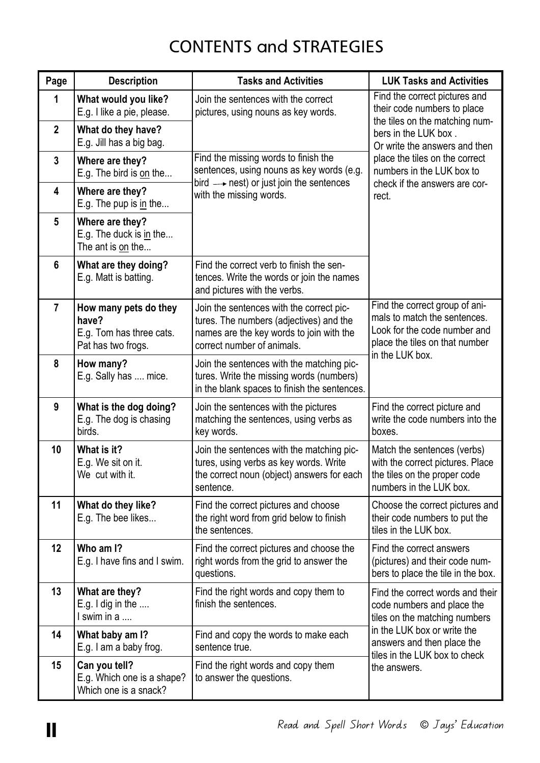## CONTENTS and STRATEGIES

| Page            | <b>Description</b>                                                               | <b>Tasks and Activities</b>                                                                                                                                   | <b>LUK Tasks and Activities</b>                                                                                                                                                                               |
|-----------------|----------------------------------------------------------------------------------|---------------------------------------------------------------------------------------------------------------------------------------------------------------|---------------------------------------------------------------------------------------------------------------------------------------------------------------------------------------------------------------|
| 1               | What would you like?<br>E.g. I like a pie, please.                               | Join the sentences with the correct<br>pictures, using nouns as key words.                                                                                    | Find the correct pictures and<br>their code numbers to place<br>the tiles on the matching num-                                                                                                                |
| $\mathbf{2}$    | What do they have?<br>E.g. Jill has a big bag.                                   |                                                                                                                                                               | bers in the LUK box.<br>Or write the answers and then                                                                                                                                                         |
| $\mathbf{3}$    | Where are they?<br>E.g. The bird is on the                                       | Find the missing words to finish the<br>sentences, using nouns as key words (e.g.                                                                             | place the tiles on the correct<br>numbers in the LUK box to<br>check if the answers are cor-                                                                                                                  |
| 4               | Where are they?<br>E.g. The pup is <u>in</u> the                                 | bird $\longrightarrow$ nest) or just join the sentences<br>with the missing words.                                                                            | rect.                                                                                                                                                                                                         |
| $5\phantom{.0}$ | Where are they?<br>E.g. The duck is in the<br>The ant is on the                  |                                                                                                                                                               |                                                                                                                                                                                                               |
| $6\phantom{1}$  | What are they doing?<br>E.g. Matt is batting.                                    | Find the correct verb to finish the sen-<br>tences. Write the words or join the names<br>and pictures with the verbs.                                         |                                                                                                                                                                                                               |
| $\overline{7}$  | How many pets do they<br>have?<br>E.g. Tom has three cats.<br>Pat has two frogs. | Join the sentences with the correct pic-<br>tures. The numbers (adjectives) and the<br>names are the key words to join with the<br>correct number of animals. | Find the correct group of ani-<br>mals to match the sentences.<br>Look for the code number and<br>place the tiles on that number                                                                              |
| 8               | How many?<br>E.g. Sally has  mice.                                               | Join the sentences with the matching pic-<br>tures. Write the missing words (numbers)<br>in the blank spaces to finish the sentences.                         | in the LUK box.                                                                                                                                                                                               |
| 9               | What is the dog doing?<br>E.g. The dog is chasing<br>birds.                      | Join the sentences with the pictures<br>matching the sentences, using verbs as<br>key words.                                                                  | Find the correct picture and<br>write the code numbers into the<br>boxes.                                                                                                                                     |
| 10 <sup>°</sup> | What is it?<br>E.g. We sit on it.<br>We cut with it.                             | Join the sentences with the matching pic-<br>tures, using verbs as key words. Write<br>the correct noun (object) answers for each<br>sentence.                | Match the sentences (verbs)<br>with the correct pictures. Place<br>the tiles on the proper code<br>numbers in the LUK box.                                                                                    |
| 11              | What do they like?<br>E.g. The bee likes                                         | Find the correct pictures and choose<br>the right word from grid below to finish<br>the sentences.                                                            | Choose the correct pictures and<br>their code numbers to put the<br>tiles in the LUK box.                                                                                                                     |
| 12 <sub>2</sub> | Who am I?<br>E.g. I have fins and I swim.                                        | Find the correct pictures and choose the<br>right words from the grid to answer the<br>questions.                                                             | Find the correct answers<br>(pictures) and their code num-<br>bers to place the tile in the box.                                                                                                              |
| 13              | What are they?<br>E.g. I dig in the $\dots$<br>I swim in a                       | Find the right words and copy them to<br>finish the sentences.                                                                                                | Find the correct words and their<br>code numbers and place the<br>tiles on the matching numbers<br>in the LUK box or write the<br>answers and then place the<br>tiles in the LUK box to check<br>the answers. |
| 14              | What baby am I?<br>E.g. I am a baby frog.                                        | Find and copy the words to make each<br>sentence true.                                                                                                        |                                                                                                                                                                                                               |
| 15              | Can you tell?<br>E.g. Which one is a shape?<br>Which one is a snack?             | Find the right words and copy them<br>to answer the questions.                                                                                                |                                                                                                                                                                                                               |